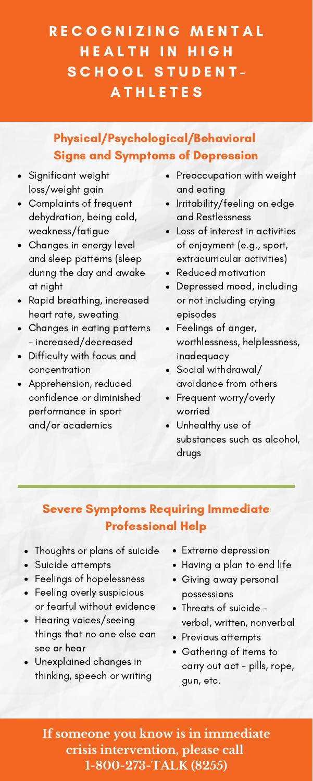- Significant weight loss/weight gain
- Complaints of frequent dehydration, being cold, weakness/fatigue
- Changes in energy level and sleep patterns (sleep during the day and awake at night
- Rapid breathing, increased heart rate, sweating
- Changes in eating patterns  $\bullet$ - increased/decreased
- Difficulty with focus and concentration
- Apprehension, reduced confidence or diminished performance in sport and/or academics
- Preoccupation with weight and eating
- Irritability/feeling on edge and Restlessness
- Loss of interest in activities of enjoyment (e.g., sport, extracurricular activities)
- Reduced motivation
- Depressed mood, including or not including crying episodes
- Feelings of anger, worthlessness, helplessness, inadequacy
- Social withdrawal/ avoidance from others
- Frequent worry/overly worried
- Unhealthy use of substances such as alcohol, drugs

## RECOGNIZING MENTAL H E A L T H I N H I G H SCHOOL STUDENT-**ATHLETES**

## Physical/Psychological/Behavioral Signs and Symptoms of Depression

### Severe Symptoms Requiring Immediate Professional Help

- Thoughts or plans of suicide
- Suicide attempts
- Feelings of hopelessness
- Feeling overly suspicious  $\bullet$ or fearful without evidence
- Hearing voices/seeing  $\bullet$ things that no one else can see or hear
- Unexplained changes in thinking, speech or writing
- Extreme depression
- Having a plan to end life
- Giving away personal possessions
- Threats of suicide verbal, written, nonverbal
- Previous attempts
- Gathering of items to carry out act - pills, rope, gun, etc.

**If someone you know is in immediate crisis intervention, please call 1-800-273-TALK (8255)**